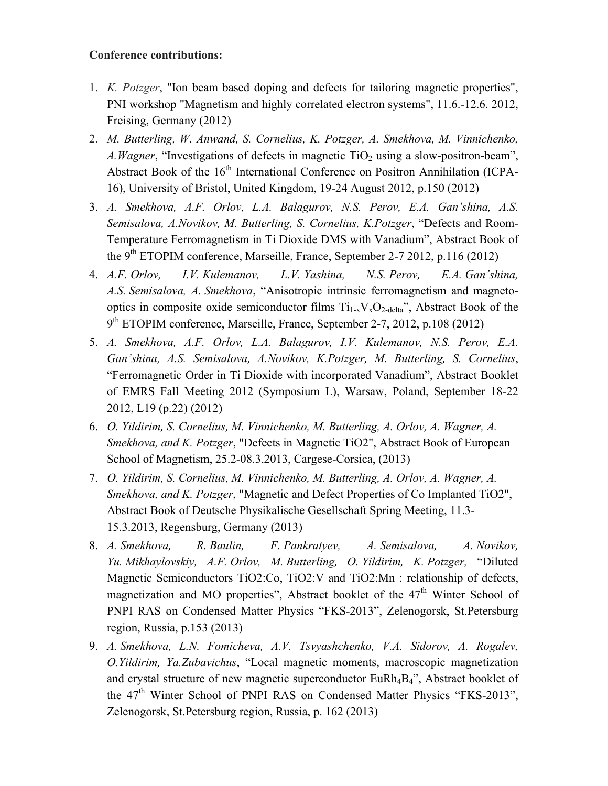## **Conference contributions:**

- 1. *K. Potzger*, "Ion beam based doping and defects for tailoring magnetic properties", PNI workshop "Magnetism and highly correlated electron systems", 11.6.-12.6. 2012, Freising, Germany (2012)
- 2. *M. Butterling, W. Anwand, S. Cornelius, K. Potzger, A. Smekhova, M. Vinnichenko, A. Wagner*, "Investigations of defects in magnetic TiO<sub>2</sub> using a slow-positron-beam", Abstract Book of the 16<sup>th</sup> International Conference on Positron Annihilation (ICPA-16), University of Bristol, United Kingdom, 19-24 August 2012, p.150 (2012)
- 3. *A. Smekhova, A.F. Orlov, L.A. Balagurov, N.S. Perov, E.A. Gan'shina, A.S. Semisalova, A.Novikov, M. Butterling, S. Cornelius, K.Potzger*, "Defects and Room-Temperature Ferromagnetism in Ti Dioxide DMS with Vanadium", Abstract Book of the  $9<sup>th</sup> ETOPIM conference, Marseille, France, September 2-7 2012, p.116 (2012)$
- 4. *A.F. Orlov, I.V. Kulemanov, L.V. Yashina, N.S. Perov, E.A. Gan'shina, A.S. Semisalova, A. Smekhova*, "Anisotropic intrinsic ferromagnetism and magnetooptics in composite oxide semiconductor films  $Ti_{1-x}V_xO_{2-\text{delta}}$ ", Abstract Book of the 9th ETOPIM conference, Marseille, France, September 2-7, 2012, p.108 (2012)
- 5. *A. Smekhova, A.F. Orlov, L.A. Balagurov, I.V. Kulemanov, N.S. Perov, E.A. Gan'shina, A.S. Semisalova, A.Novikov, K.Potzger, M. Butterling, S. Cornelius*, "Ferromagnetic Order in Ti Dioxide with incorporated Vanadium", Abstract Booklet of EMRS Fall Meeting 2012 (Symposium L), Warsaw, Poland, September 18-22 2012, L19 (p.22) (2012)
- 6. *O. Yildirim, S. Cornelius, M. Vinnichenko, M. Butterling, A. Orlov, A. Wagner, A. Smekhova, and K. Potzger*, "Defects in Magnetic TiO2", Abstract Book of European School of Magnetism, 25.2-08.3.2013, Cargese-Corsica, (2013)
- 7. *O. Yildirim, S. Cornelius, M. Vinnichenko, M. Butterling, A. Orlov, A. Wagner, A. Smekhova, and K. Potzger*, "Magnetic and Defect Properties of Co Implanted TiO2", Abstract Book of Deutsche Physikalische Gesellschaft Spring Meeting, 11.3- 15.3.2013, Regensburg, Germany (2013)
- 8. *A. Smekhova, R. Baulin, F. Pankratyev, A. Semisalova, A. Novikov, Yu. Mikhaylovskiy, A.F. Orlov, M. Butterling, O. Yildirim, K. Potzger,* "Diluted Magnetic Semiconductors TiO2:Co, TiO2:V and TiO2:Mn : relationship of defects, magnetization and MO properties", Abstract booklet of the 47<sup>th</sup> Winter School of PNPI RAS on Condensed Matter Physics "FKS-2013", Zelenogorsk, St.Petersburg region, Russia, p.153 (2013)
- 9. *A. Smekhova, L.N. Fomicheva, A.V. Tsvyashchenko, V.A. Sidorov, A. Rogalev, O.Yildirim, Ya.Zubavichus*, "Local magnetic moments, macroscopic magnetization and crystal structure of new magnetic superconductor EuRh<sub>4</sub>B<sub>4</sub>", Abstract booklet of the 47<sup>th</sup> Winter School of PNPI RAS on Condensed Matter Physics "FKS-2013", Zelenogorsk, St.Petersburg region, Russia, p. 162 (2013)